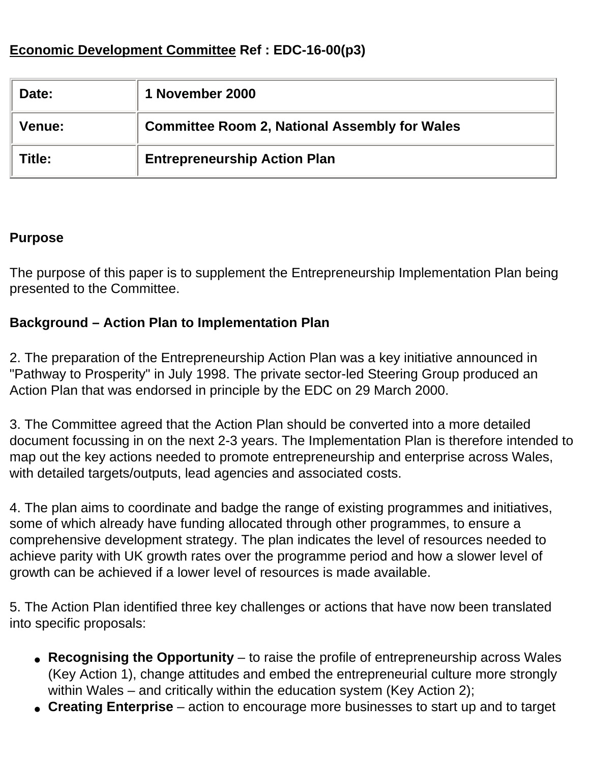## **Economic Development Committee Ref : EDC-16-00(p3)**

| Date:         | 1 November 2000                                      |
|---------------|------------------------------------------------------|
| <b>Venue:</b> | <b>Committee Room 2, National Assembly for Wales</b> |
| Title:        | <b>Entrepreneurship Action Plan</b>                  |

#### **Purpose**

The purpose of this paper is to supplement the Entrepreneurship Implementation Plan being presented to the Committee.

### **Background – Action Plan to Implementation Plan**

2. The preparation of the Entrepreneurship Action Plan was a key initiative announced in "Pathway to Prosperity" in July 1998. The private sector-led Steering Group produced an Action Plan that was endorsed in principle by the EDC on 29 March 2000.

3. The Committee agreed that the Action Plan should be converted into a more detailed document focussing in on the next 2-3 years. The Implementation Plan is therefore intended to map out the key actions needed to promote entrepreneurship and enterprise across Wales, with detailed targets/outputs, lead agencies and associated costs.

4. The plan aims to coordinate and badge the range of existing programmes and initiatives, some of which already have funding allocated through other programmes, to ensure a comprehensive development strategy. The plan indicates the level of resources needed to achieve parity with UK growth rates over the programme period and how a slower level of growth can be achieved if a lower level of resources is made available.

5. The Action Plan identified three key challenges or actions that have now been translated into specific proposals:

- **Recognising the Opportunity** to raise the profile of entrepreneurship across Wales (Key Action 1), change attitudes and embed the entrepreneurial culture more strongly within Wales – and critically within the education system (Key Action 2);
- **Creating Enterprise** action to encourage more businesses to start up and to target